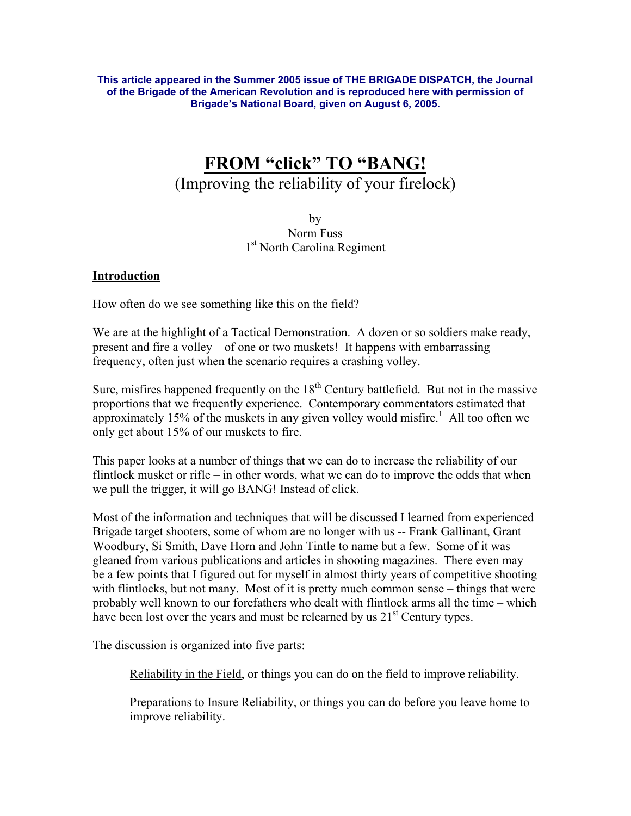**This article appeared in the Summer 2005 issue of THE BRIGADE DISPATCH, the Journal of the Brigade of the American Revolution and is reproduced here with permission of Brigade's National Board, given on August 6, 2005.**

# **FROM "click" TO "BANG!**

## (Improving the reliability of your firelock)

by Norm Fuss 1<sup>st</sup> North Carolina Regiment

#### **Introduction**

How often do we see something like this on the field?

We are at the highlight of a Tactical Demonstration. A dozen or so soldiers make ready, present and fire a volley – of one or two muskets! It happens with embarrassing frequency, often just when the scenario requires a crashing volley.

Sure, misfires happened frequently on the  $18<sup>th</sup>$  Century battlefield. But not in the massive proportions that we frequently experience. Contemporary commentators estimated that approximately 15% of the muskets in any given volley would misfire.<sup>1</sup> All too often we only get about 15% of our muskets to fire.

This paper looks at a number of things that we can do to increase the reliability of our flintlock musket or rifle – in other words, what we can do to improve the odds that when we pull the trigger, it will go BANG! Instead of click.

Most of the information and techniques that will be discussed I learned from experienced Brigade target shooters, some of whom are no longer with us -- Frank Gallinant, Grant Woodbury, Si Smith, Dave Horn and John Tintle to name but a few. Some of it was gleaned from various publications and articles in shooting magazines. There even may be a few points that I figured out for myself in almost thirty years of competitive shooting with flintlocks, but not many. Most of it is pretty much common sense – things that were probably well known to our forefathers who dealt with flintlock arms all the time – which have been lost over the years and must be relearned by us  $21<sup>st</sup>$  Century types.

The discussion is organized into five parts:

Reliability in the Field, or things you can do on the field to improve reliability.

Preparations to Insure Reliability, or things you can do before you leave home to improve reliability.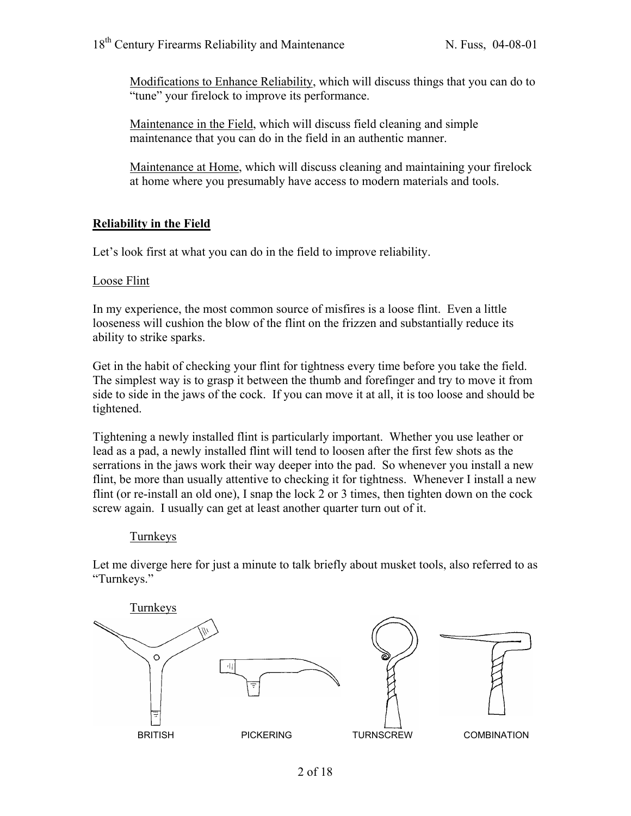Modifications to Enhance Reliability, which will discuss things that you can do to "tune" your firelock to improve its performance.

Maintenance in the Field, which will discuss field cleaning and simple maintenance that you can do in the field in an authentic manner.

Maintenance at Home, which will discuss cleaning and maintaining your firelock at home where you presumably have access to modern materials and tools.

## **Reliability in the Field**

Let's look first at what you can do in the field to improve reliability.

#### Loose Flint

In my experience, the most common source of misfires is a loose flint. Even a little looseness will cushion the blow of the flint on the frizzen and substantially reduce its ability to strike sparks.

Get in the habit of checking your flint for tightness every time before you take the field. The simplest way is to grasp it between the thumb and forefinger and try to move it from side to side in the jaws of the cock. If you can move it at all, it is too loose and should be tightened.

Tightening a newly installed flint is particularly important. Whether you use leather or lead as a pad, a newly installed flint will tend to loosen after the first few shots as the serrations in the jaws work their way deeper into the pad. So whenever you install a new flint, be more than usually attentive to checking it for tightness. Whenever I install a new flint (or re-install an old one), I snap the lock 2 or 3 times, then tighten down on the cock screw again. I usually can get at least another quarter turn out of it.

#### **Turnkeys**

Let me diverge here for just a minute to talk briefly about musket tools, also referred to as "Turnkeys."

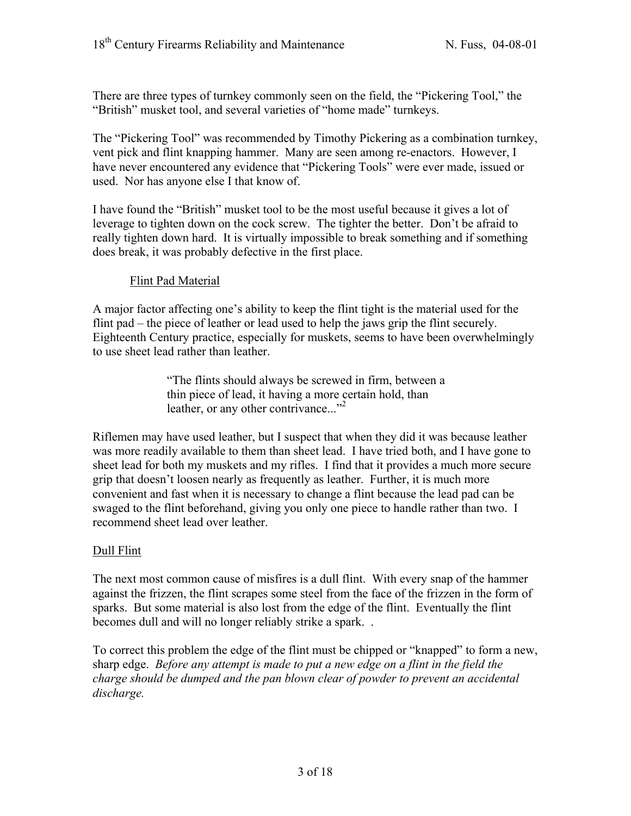There are three types of turnkey commonly seen on the field, the "Pickering Tool," the "British" musket tool, and several varieties of "home made" turnkeys.

The "Pickering Tool" was recommended by Timothy Pickering as a combination turnkey, vent pick and flint knapping hammer. Many are seen among re-enactors. However, I have never encountered any evidence that "Pickering Tools" were ever made, issued or used. Nor has anyone else I that know of.

I have found the "British" musket tool to be the most useful because it gives a lot of leverage to tighten down on the cock screw. The tighter the better. Don't be afraid to really tighten down hard. It is virtually impossible to break something and if something does break, it was probably defective in the first place.

## Flint Pad Material

A major factor affecting one's ability to keep the flint tight is the material used for the flint pad – the piece of leather or lead used to help the jaws grip the flint securely. Eighteenth Century practice, especially for muskets, seems to have been overwhelmingly to use sheet lead rather than leather.

> "The flints should always be screwed in firm, between a thin piece of lead, it having a more certain hold, than leather, or any other contrivance..."<sup>2</sup>

Riflemen may have used leather, but I suspect that when they did it was because leather was more readily available to them than sheet lead. I have tried both, and I have gone to sheet lead for both my muskets and my rifles. I find that it provides a much more secure grip that doesn't loosen nearly as frequently as leather. Further, it is much more convenient and fast when it is necessary to change a flint because the lead pad can be swaged to the flint beforehand, giving you only one piece to handle rather than two. I recommend sheet lead over leather.

## Dull Flint

The next most common cause of misfires is a dull flint. With every snap of the hammer against the frizzen, the flint scrapes some steel from the face of the frizzen in the form of sparks. But some material is also lost from the edge of the flint. Eventually the flint becomes dull and will no longer reliably strike a spark. .

To correct this problem the edge of the flint must be chipped or "knapped" to form a new, sharp edge. *Before any attempt is made to put a new edge on a flint in the field the charge should be dumped and the pan blown clear of powder to prevent an accidental discharge.*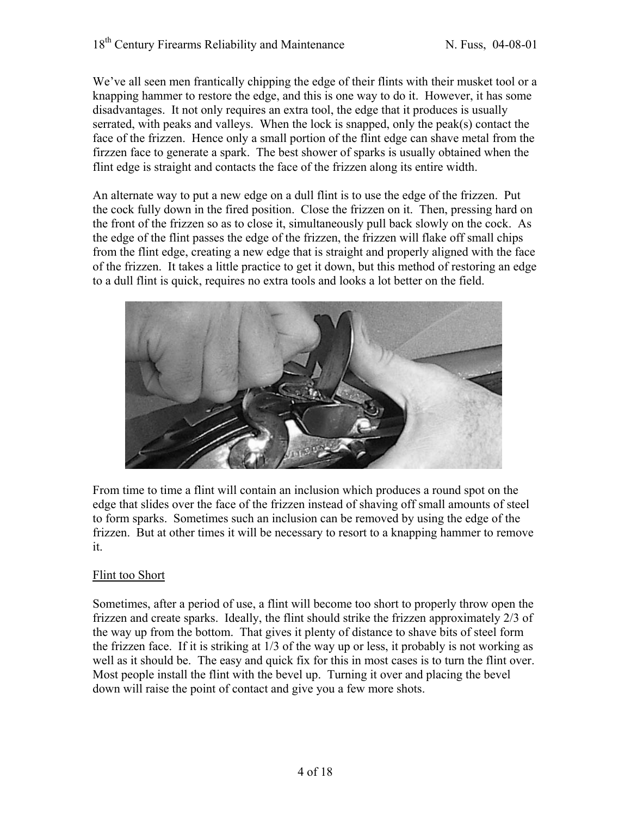We've all seen men frantically chipping the edge of their flints with their musket tool or a knapping hammer to restore the edge, and this is one way to do it. However, it has some disadvantages. It not only requires an extra tool, the edge that it produces is usually serrated, with peaks and valleys. When the lock is snapped, only the peak(s) contact the face of the frizzen. Hence only a small portion of the flint edge can shave metal from the firzzen face to generate a spark. The best shower of sparks is usually obtained when the flint edge is straight and contacts the face of the frizzen along its entire width.

An alternate way to put a new edge on a dull flint is to use the edge of the frizzen. Put the cock fully down in the fired position. Close the frizzen on it. Then, pressing hard on the front of the frizzen so as to close it, simultaneously pull back slowly on the cock. As the edge of the flint passes the edge of the frizzen, the frizzen will flake off small chips from the flint edge, creating a new edge that is straight and properly aligned with the face of the frizzen. It takes a little practice to get it down, but this method of restoring an edge to a dull flint is quick, requires no extra tools and looks a lot better on the field.



From time to time a flint will contain an inclusion which produces a round spot on the edge that slides over the face of the frizzen instead of shaving off small amounts of steel to form sparks. Sometimes such an inclusion can be removed by using the edge of the frizzen. But at other times it will be necessary to resort to a knapping hammer to remove it.

## Flint too Short

Sometimes, after a period of use, a flint will become too short to properly throw open the frizzen and create sparks. Ideally, the flint should strike the frizzen approximately 2/3 of the way up from the bottom. That gives it plenty of distance to shave bits of steel form the frizzen face. If it is striking at 1/3 of the way up or less, it probably is not working as well as it should be. The easy and quick fix for this in most cases is to turn the flint over. Most people install the flint with the bevel up. Turning it over and placing the bevel down will raise the point of contact and give you a few more shots.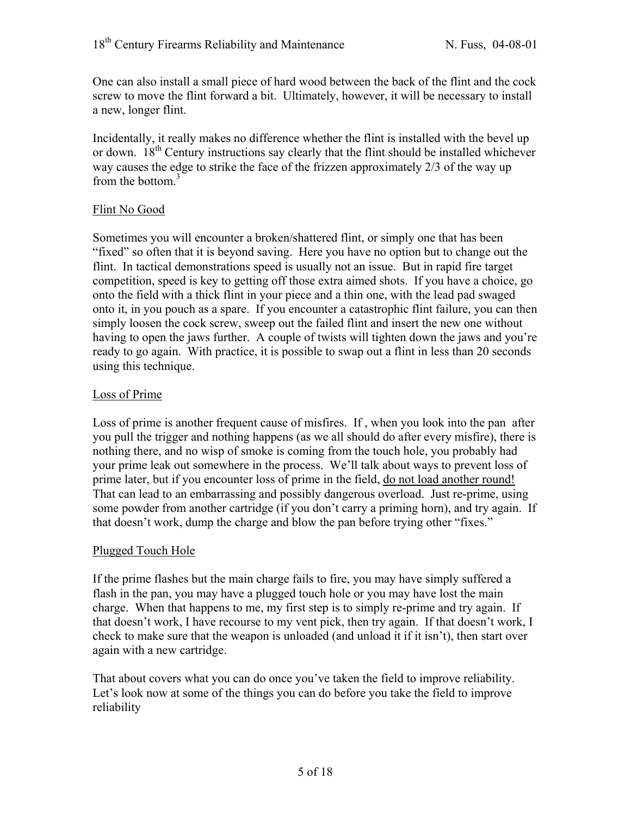One can also install a small piece of hard wood between the back of the flint and the cock screw to move the flint forward a bit. Ultimately, however, it will be necessary to install a new, longer flint.

Incidentally, it really makes no difference whether the flint is installed with the bevel up or down.  $18<sup>th</sup>$  Century instructions say clearly that the flint should be installed whichever way causes the edge to strike the face of the frizzen approximately 2/3 of the way up from the bottom.<sup>3</sup>

## Flint No Good

Sometimes you will encounter a broken/shattered flint, or simply one that has been "fixed" so often that it is beyond saving. Here you have no option but to change out the flint. In tactical demonstrations speed is usually not an issue. But in rapid fire target competition, speed is key to getting off those extra aimed shots. If you have a choice, go onto the field with a thick flint in your piece and a thin one, with the lead pad swaged onto it, in you pouch as a spare. If you encounter a catastrophic flint failure, you can then simply loosen the cock screw, sweep out the failed flint and insert the new one without having to open the jaws further. A couple of twists will tighten down the jaws and you're ready to go again. With practice, it is possible to swap out a flint in less than 20 seconds using this technique.

#### Loss of Prime

Loss of prime is another frequent cause of misfires. If , when you look into the pan after you pull the trigger and nothing happens (as we all should do after every misfire), there is nothing there, and no wisp of smoke is coming from the touch hole, you probably had your prime leak out somewhere in the process. We'll talk about ways to prevent loss of prime later, but if you encounter loss of prime in the field, do not load another round! That can lead to an embarrassing and possibly dangerous overload. Just re-prime, using some powder from another cartridge (if you don't carry a priming horn), and try again. If that doesn't work, dump the charge and blow the pan before trying other "fixes."

#### Plugged Touch Hole

If the prime flashes but the main charge fails to fire, you may have simply suffered a flash in the pan, you may have a plugged touch hole or you may have lost the main charge. When that happens to me, my first step is to simply re-prime and try again. If that doesn't work, I have recourse to my vent pick, then try again. If that doesn't work, I check to make sure that the weapon is unloaded (and unload it if it isn't), then start over again with a new cartridge.

That about covers what you can do once you've taken the field to improve reliability. Let's look now at some of the things you can do before you take the field to improve reliability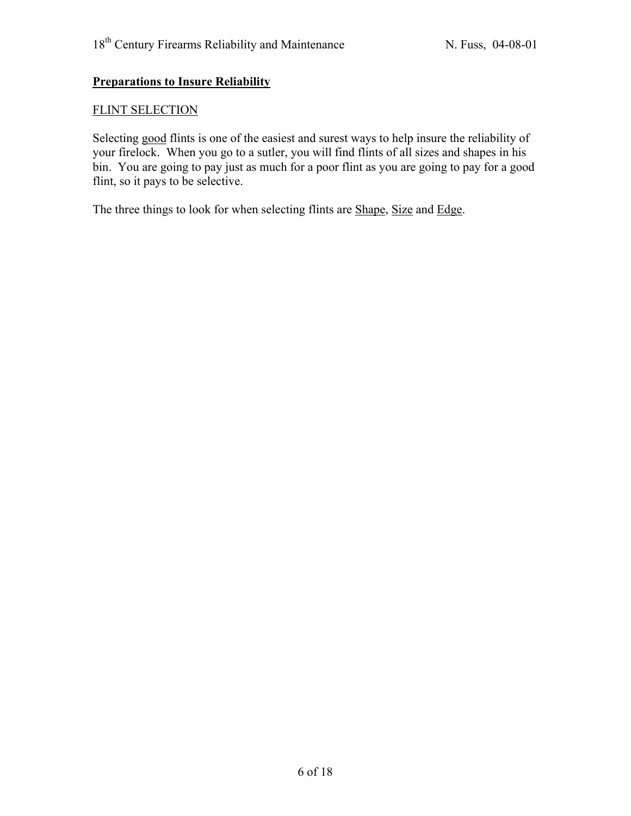## **Preparations to Insure Reliability**

#### FLINT SELECTION

Selecting good flints is one of the easiest and surest ways to help insure the reliability of your firelock. When you go to a sutler, you will find flints of all sizes and shapes in his bin. You are going to pay just as much for a poor flint as you are going to pay for a good flint, so it pays to be selective.

The three things to look for when selecting flints are Shape, Size and Edge.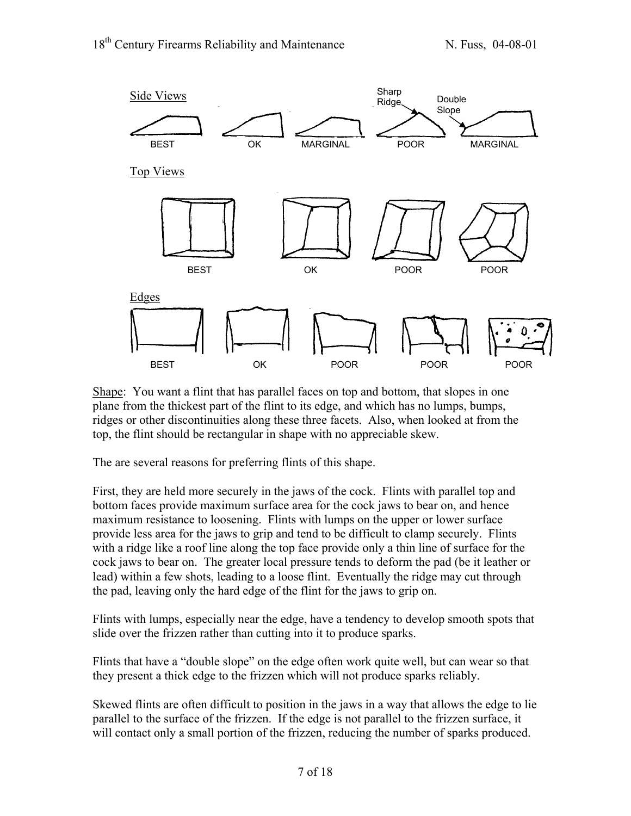

Shape: You want a flint that has parallel faces on top and bottom, that slopes in one plane from the thickest part of the flint to its edge, and which has no lumps, bumps, ridges or other discontinuities along these three facets. Also, when looked at from the top, the flint should be rectangular in shape with no appreciable skew.

The are several reasons for preferring flints of this shape.

First, they are held more securely in the jaws of the cock. Flints with parallel top and bottom faces provide maximum surface area for the cock jaws to bear on, and hence maximum resistance to loosening. Flints with lumps on the upper or lower surface provide less area for the jaws to grip and tend to be difficult to clamp securely. Flints with a ridge like a roof line along the top face provide only a thin line of surface for the cock jaws to bear on. The greater local pressure tends to deform the pad (be it leather or lead) within a few shots, leading to a loose flint. Eventually the ridge may cut through the pad, leaving only the hard edge of the flint for the jaws to grip on.

Flints with lumps, especially near the edge, have a tendency to develop smooth spots that slide over the frizzen rather than cutting into it to produce sparks.

Flints that have a "double slope" on the edge often work quite well, but can wear so that they present a thick edge to the frizzen which will not produce sparks reliably.

Skewed flints are often difficult to position in the jaws in a way that allows the edge to lie parallel to the surface of the frizzen. If the edge is not parallel to the frizzen surface, it will contact only a small portion of the frizzen, reducing the number of sparks produced.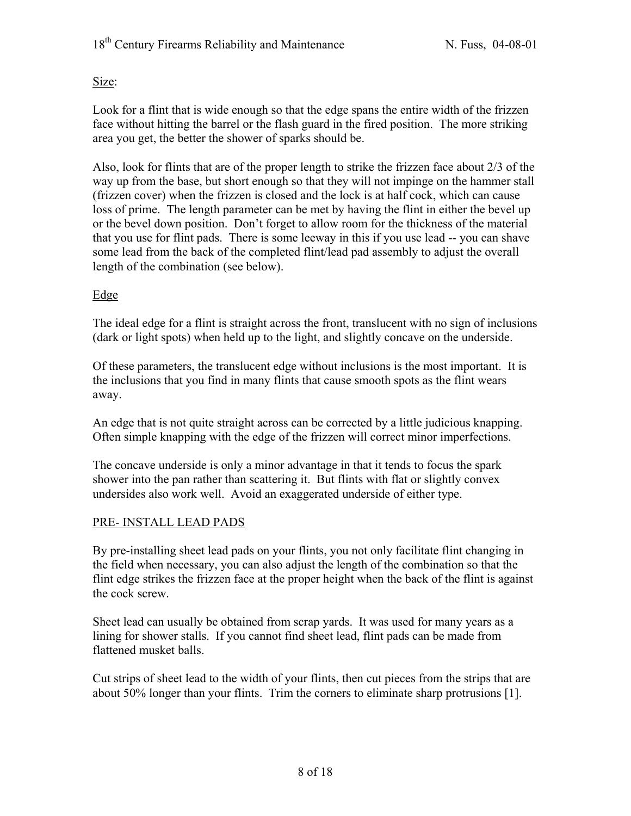Size:

Look for a flint that is wide enough so that the edge spans the entire width of the frizzen face without hitting the barrel or the flash guard in the fired position. The more striking area you get, the better the shower of sparks should be.

Also, look for flints that are of the proper length to strike the frizzen face about 2/3 of the way up from the base, but short enough so that they will not impinge on the hammer stall (frizzen cover) when the frizzen is closed and the lock is at half cock, which can cause loss of prime. The length parameter can be met by having the flint in either the bevel up or the bevel down position. Don't forget to allow room for the thickness of the material that you use for flint pads. There is some leeway in this if you use lead -- you can shave some lead from the back of the completed flint/lead pad assembly to adjust the overall length of the combination (see below).

## Edge

The ideal edge for a flint is straight across the front, translucent with no sign of inclusions (dark or light spots) when held up to the light, and slightly concave on the underside.

Of these parameters, the translucent edge without inclusions is the most important. It is the inclusions that you find in many flints that cause smooth spots as the flint wears away.

An edge that is not quite straight across can be corrected by a little judicious knapping. Often simple knapping with the edge of the frizzen will correct minor imperfections.

The concave underside is only a minor advantage in that it tends to focus the spark shower into the pan rather than scattering it. But flints with flat or slightly convex undersides also work well. Avoid an exaggerated underside of either type.

## PRE- INSTALL LEAD PADS

By pre-installing sheet lead pads on your flints, you not only facilitate flint changing in the field when necessary, you can also adjust the length of the combination so that the flint edge strikes the frizzen face at the proper height when the back of the flint is against the cock screw.

Sheet lead can usually be obtained from scrap yards. It was used for many years as a lining for shower stalls. If you cannot find sheet lead, flint pads can be made from flattened musket balls.

Cut strips of sheet lead to the width of your flints, then cut pieces from the strips that are about 50% longer than your flints. Trim the corners to eliminate sharp protrusions [1].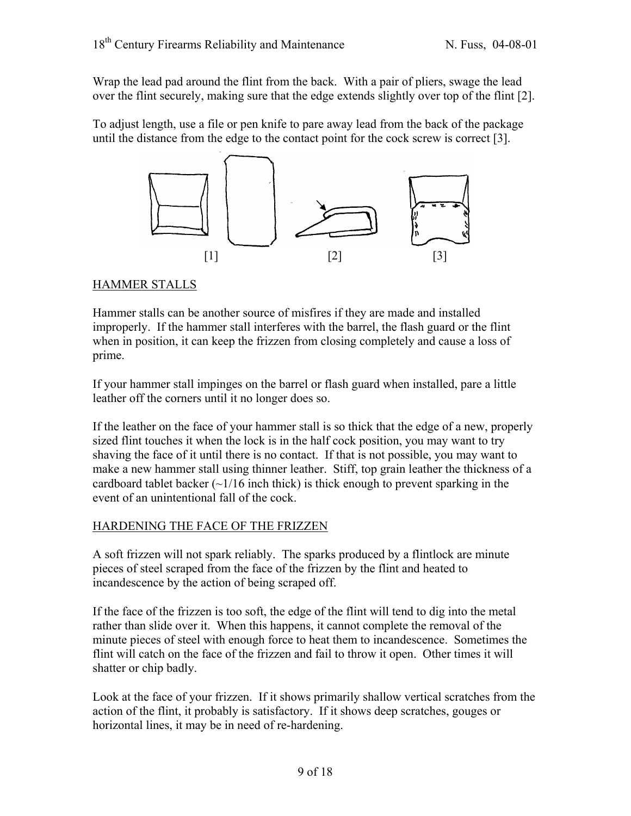Wrap the lead pad around the flint from the back. With a pair of pliers, swage the lead over the flint securely, making sure that the edge extends slightly over top of the flint [2].

To adjust length, use a file or pen knife to pare away lead from the back of the package until the distance from the edge to the contact point for the cock screw is correct [3].



## HAMMER STALLS

Hammer stalls can be another source of misfires if they are made and installed improperly. If the hammer stall interferes with the barrel, the flash guard or the flint when in position, it can keep the frizzen from closing completely and cause a loss of prime.

If your hammer stall impinges on the barrel or flash guard when installed, pare a little leather off the corners until it no longer does so.

If the leather on the face of your hammer stall is so thick that the edge of a new, properly sized flint touches it when the lock is in the half cock position, you may want to try shaving the face of it until there is no contact. If that is not possible, you may want to make a new hammer stall using thinner leather. Stiff, top grain leather the thickness of a cardboard tablet backer  $(\sim 1/16$  inch thick) is thick enough to prevent sparking in the event of an unintentional fall of the cock.

## HARDENING THE FACE OF THE FRIZZEN

A soft frizzen will not spark reliably. The sparks produced by a flintlock are minute pieces of steel scraped from the face of the frizzen by the flint and heated to incandescence by the action of being scraped off.

If the face of the frizzen is too soft, the edge of the flint will tend to dig into the metal rather than slide over it. When this happens, it cannot complete the removal of the minute pieces of steel with enough force to heat them to incandescence. Sometimes the flint will catch on the face of the frizzen and fail to throw it open. Other times it will shatter or chip badly.

Look at the face of your frizzen. If it shows primarily shallow vertical scratches from the action of the flint, it probably is satisfactory. If it shows deep scratches, gouges or horizontal lines, it may be in need of re-hardening.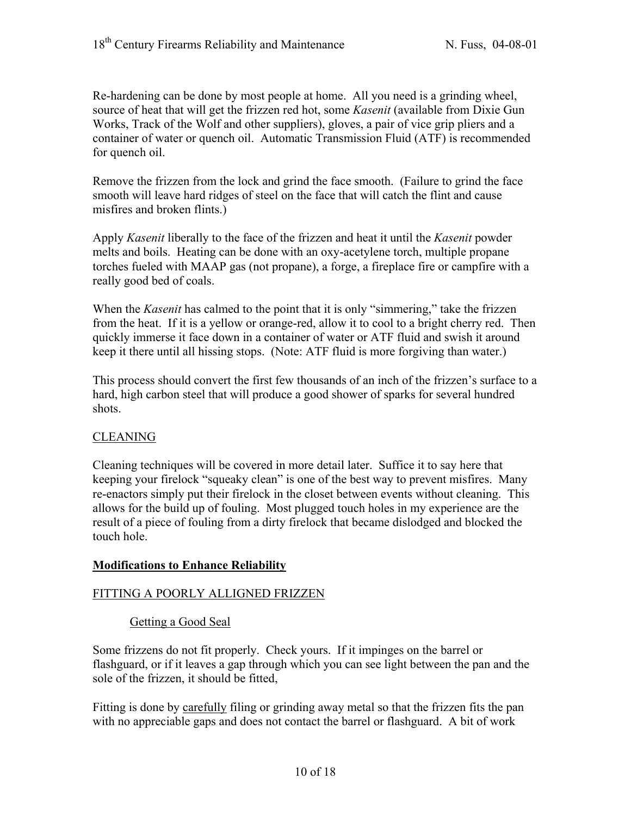Re-hardening can be done by most people at home. All you need is a grinding wheel, source of heat that will get the frizzen red hot, some *Kasenit* (available from Dixie Gun Works, Track of the Wolf and other suppliers), gloves, a pair of vice grip pliers and a container of water or quench oil. Automatic Transmission Fluid (ATF) is recommended for quench oil.

Remove the frizzen from the lock and grind the face smooth. (Failure to grind the face smooth will leave hard ridges of steel on the face that will catch the flint and cause misfires and broken flints.)

Apply *Kasenit* liberally to the face of the frizzen and heat it until the *Kasenit* powder melts and boils. Heating can be done with an oxy-acetylene torch, multiple propane torches fueled with MAAP gas (not propane), a forge, a fireplace fire or campfire with a really good bed of coals.

When the *Kasenit* has calmed to the point that it is only "simmering," take the frizzen from the heat. If it is a yellow or orange-red, allow it to cool to a bright cherry red. Then quickly immerse it face down in a container of water or ATF fluid and swish it around keep it there until all hissing stops. (Note: ATF fluid is more forgiving than water.)

This process should convert the first few thousands of an inch of the frizzen's surface to a hard, high carbon steel that will produce a good shower of sparks for several hundred shots.

## CLEANING

Cleaning techniques will be covered in more detail later. Suffice it to say here that keeping your firelock "squeaky clean" is one of the best way to prevent misfires. Many re-enactors simply put their firelock in the closet between events without cleaning. This allows for the build up of fouling. Most plugged touch holes in my experience are the result of a piece of fouling from a dirty firelock that became dislodged and blocked the touch hole.

#### **Modifications to Enhance Reliability**

#### FITTING A POORLY ALLIGNED FRIZZEN

#### Getting a Good Seal

Some frizzens do not fit properly. Check yours. If it impinges on the barrel or flashguard, or if it leaves a gap through which you can see light between the pan and the sole of the frizzen, it should be fitted,

Fitting is done by carefully filing or grinding away metal so that the frizzen fits the pan with no appreciable gaps and does not contact the barrel or flashguard. A bit of work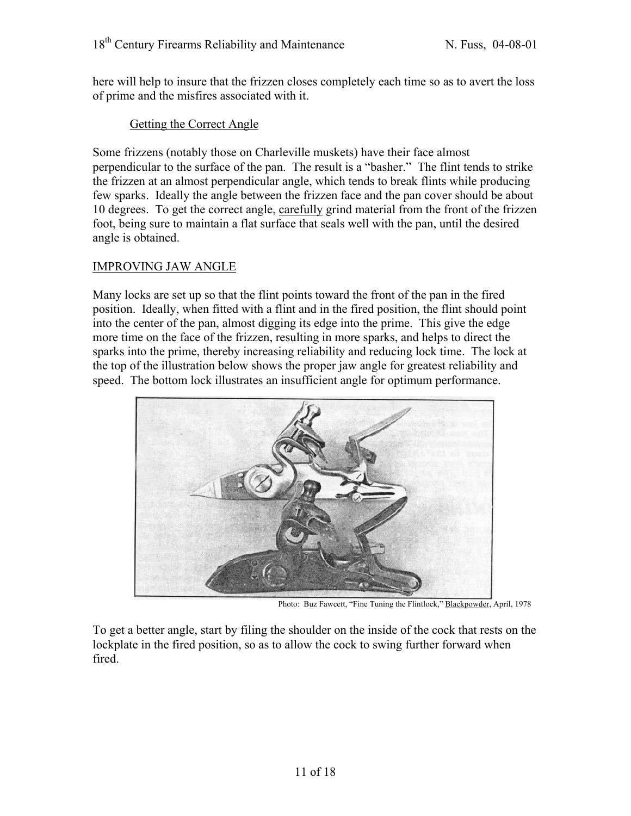here will help to insure that the frizzen closes completely each time so as to avert the loss of prime and the misfires associated with it.

## Getting the Correct Angle

Some frizzens (notably those on Charleville muskets) have their face almost perpendicular to the surface of the pan. The result is a "basher." The flint tends to strike the frizzen at an almost perpendicular angle, which tends to break flints while producing few sparks. Ideally the angle between the frizzen face and the pan cover should be about 10 degrees. To get the correct angle, carefully grind material from the front of the frizzen foot, being sure to maintain a flat surface that seals well with the pan, until the desired angle is obtained.

## IMPROVING JAW ANGLE

Many locks are set up so that the flint points toward the front of the pan in the fired position. Ideally, when fitted with a flint and in the fired position, the flint should point into the center of the pan, almost digging its edge into the prime. This give the edge more time on the face of the frizzen, resulting in more sparks, and helps to direct the sparks into the prime, thereby increasing reliability and reducing lock time. The lock at the top of the illustration below shows the proper jaw angle for greatest reliability and speed. The bottom lock illustrates an insufficient angle for optimum performance.



Photo: Buz Fawcett, "Fine Tuning the Flintlock," Blackpowder, April, 1978

To get a better angle, start by filing the shoulder on the inside of the cock that rests on the lockplate in the fired position, so as to allow the cock to swing further forward when fired.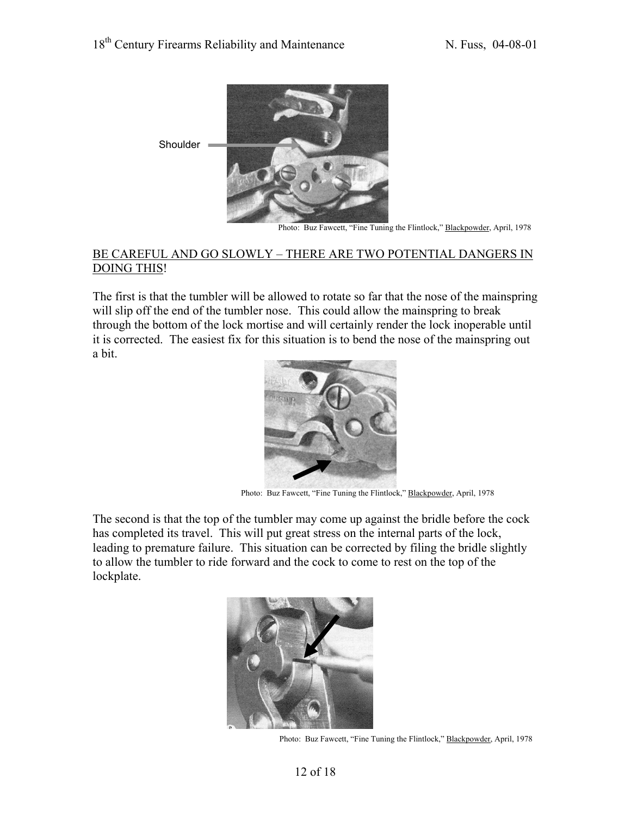

Photo: Buz Fawcett, "Fine Tuning the Flintlock," Blackpowder, April, 1978

#### BE CAREFUL AND GO SLOWLY – THERE ARE TWO POTENTIAL DANGERS IN DOING THIS!

The first is that the tumbler will be allowed to rotate so far that the nose of the mainspring will slip off the end of the tumbler nose. This could allow the mainspring to break through the bottom of the lock mortise and will certainly render the lock inoperable until it is corrected. The easiest fix for this situation is to bend the nose of the mainspring out a bit.



Photo: Buz Fawcett, "Fine Tuning the Flintlock," Blackpowder, April, 1978

The second is that the top of the tumbler may come up against the bridle before the cock has completed its travel. This will put great stress on the internal parts of the lock, leading to premature failure. This situation can be corrected by filing the bridle slightly to allow the tumbler to ride forward and the cock to come to rest on the top of the lockplate.



Photo: Buz Fawcett, "Fine Tuning the Flintlock," Blackpowder, April, 1978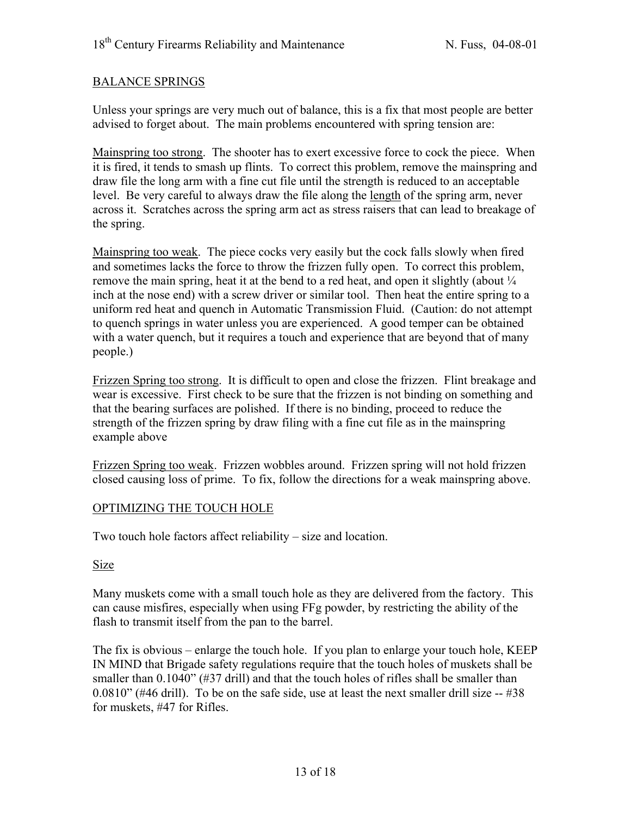#### BALANCE SPRINGS

Unless your springs are very much out of balance, this is a fix that most people are better advised to forget about. The main problems encountered with spring tension are:

Mainspring too strong. The shooter has to exert excessive force to cock the piece. When it is fired, it tends to smash up flints. To correct this problem, remove the mainspring and draw file the long arm with a fine cut file until the strength is reduced to an acceptable level. Be very careful to always draw the file along the length of the spring arm, never across it. Scratches across the spring arm act as stress raisers that can lead to breakage of the spring.

Mainspring too weak. The piece cocks very easily but the cock falls slowly when fired and sometimes lacks the force to throw the frizzen fully open. To correct this problem, remove the main spring, heat it at the bend to a red heat, and open it slightly (about  $\frac{1}{4}$ inch at the nose end) with a screw driver or similar tool. Then heat the entire spring to a uniform red heat and quench in Automatic Transmission Fluid. (Caution: do not attempt to quench springs in water unless you are experienced. A good temper can be obtained with a water quench, but it requires a touch and experience that are beyond that of many people.)

Frizzen Spring too strong. It is difficult to open and close the frizzen. Flint breakage and wear is excessive. First check to be sure that the frizzen is not binding on something and that the bearing surfaces are polished. If there is no binding, proceed to reduce the strength of the frizzen spring by draw filing with a fine cut file as in the mainspring example above

Frizzen Spring too weak. Frizzen wobbles around. Frizzen spring will not hold frizzen closed causing loss of prime. To fix, follow the directions for a weak mainspring above.

#### OPTIMIZING THE TOUCH HOLE

Two touch hole factors affect reliability – size and location.

#### Size

Many muskets come with a small touch hole as they are delivered from the factory. This can cause misfires, especially when using FFg powder, by restricting the ability of the flash to transmit itself from the pan to the barrel.

The fix is obvious – enlarge the touch hole. If you plan to enlarge your touch hole, KEEP IN MIND that Brigade safety regulations require that the touch holes of muskets shall be smaller than 0.1040" (#37 drill) and that the touch holes of rifles shall be smaller than  $0.0810$ " (#46 drill). To be on the safe side, use at least the next smaller drill size  $-$  #38 for muskets, #47 for Rifles.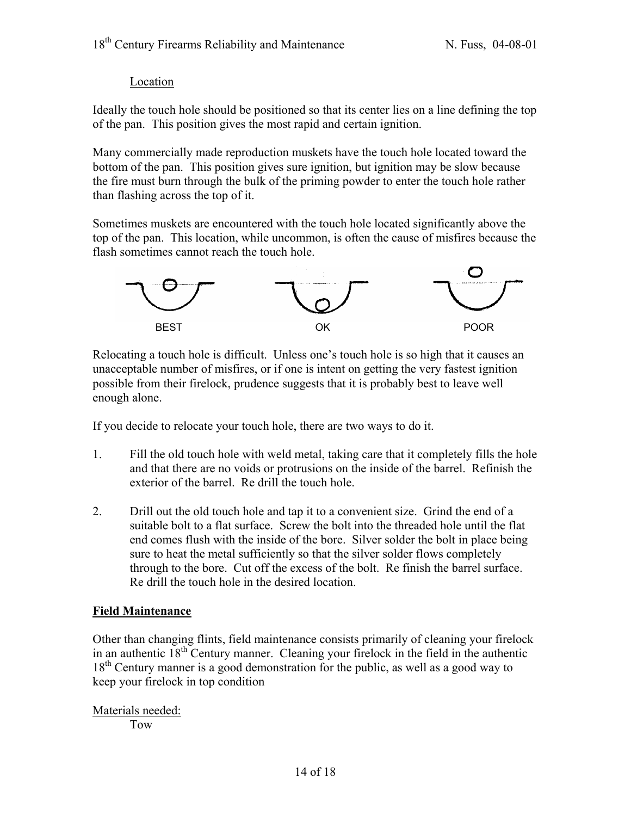## **Location**

Ideally the touch hole should be positioned so that its center lies on a line defining the top of the pan. This position gives the most rapid and certain ignition.

Many commercially made reproduction muskets have the touch hole located toward the bottom of the pan. This position gives sure ignition, but ignition may be slow because the fire must burn through the bulk of the priming powder to enter the touch hole rather than flashing across the top of it.

Sometimes muskets are encountered with the touch hole located significantly above the top of the pan. This location, while uncommon, is often the cause of misfires because the flash sometimes cannot reach the touch hole.



Relocating a touch hole is difficult. Unless one's touch hole is so high that it causes an unacceptable number of misfires, or if one is intent on getting the very fastest ignition possible from their firelock, prudence suggests that it is probably best to leave well enough alone.

If you decide to relocate your touch hole, there are two ways to do it.

- 1. Fill the old touch hole with weld metal, taking care that it completely fills the hole and that there are no voids or protrusions on the inside of the barrel. Refinish the exterior of the barrel. Re drill the touch hole.
- 2. Drill out the old touch hole and tap it to a convenient size. Grind the end of a suitable bolt to a flat surface. Screw the bolt into the threaded hole until the flat end comes flush with the inside of the bore. Silver solder the bolt in place being sure to heat the metal sufficiently so that the silver solder flows completely through to the bore. Cut off the excess of the bolt. Re finish the barrel surface. Re drill the touch hole in the desired location.

## **Field Maintenance**

Other than changing flints, field maintenance consists primarily of cleaning your firelock in an authentic  $18<sup>th</sup>$  Century manner. Cleaning your firelock in the field in the authentic 18<sup>th</sup> Century manner is a good demonstration for the public, as well as a good way to keep your firelock in top condition

Materials needed:

Tow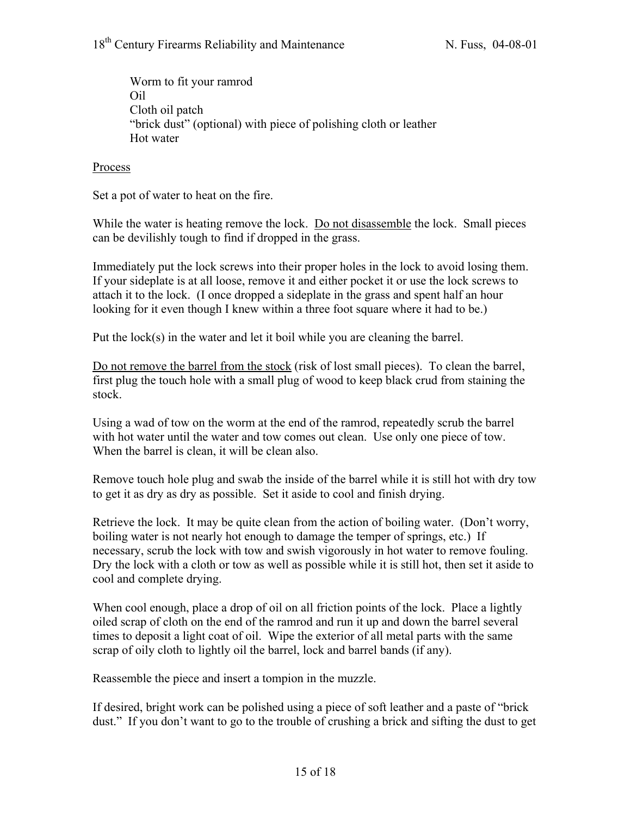Worm to fit your ramrod Oil Cloth oil patch "brick dust" (optional) with piece of polishing cloth or leather Hot water

#### Process

Set a pot of water to heat on the fire.

While the water is heating remove the lock. Do not disassemble the lock. Small pieces can be devilishly tough to find if dropped in the grass.

Immediately put the lock screws into their proper holes in the lock to avoid losing them. If your sideplate is at all loose, remove it and either pocket it or use the lock screws to attach it to the lock. (I once dropped a sideplate in the grass and spent half an hour looking for it even though I knew within a three foot square where it had to be.)

Put the lock(s) in the water and let it boil while you are cleaning the barrel.

Do not remove the barrel from the stock (risk of lost small pieces). To clean the barrel, first plug the touch hole with a small plug of wood to keep black crud from staining the stock.

Using a wad of tow on the worm at the end of the ramrod, repeatedly scrub the barrel with hot water until the water and tow comes out clean. Use only one piece of tow. When the barrel is clean, it will be clean also.

Remove touch hole plug and swab the inside of the barrel while it is still hot with dry tow to get it as dry as dry as possible. Set it aside to cool and finish drying.

Retrieve the lock. It may be quite clean from the action of boiling water. (Don't worry, boiling water is not nearly hot enough to damage the temper of springs, etc.) If necessary, scrub the lock with tow and swish vigorously in hot water to remove fouling. Dry the lock with a cloth or tow as well as possible while it is still hot, then set it aside to cool and complete drying.

When cool enough, place a drop of oil on all friction points of the lock. Place a lightly oiled scrap of cloth on the end of the ramrod and run it up and down the barrel several times to deposit a light coat of oil. Wipe the exterior of all metal parts with the same scrap of oily cloth to lightly oil the barrel, lock and barrel bands (if any).

Reassemble the piece and insert a tompion in the muzzle.

If desired, bright work can be polished using a piece of soft leather and a paste of "brick dust." If you don't want to go to the trouble of crushing a brick and sifting the dust to get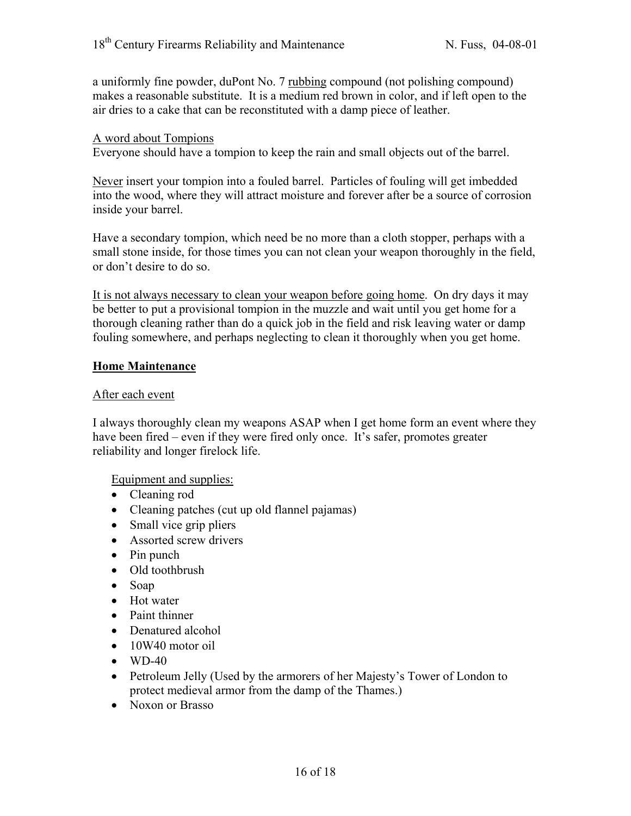a uniformly fine powder, duPont No. 7 rubbing compound (not polishing compound) makes a reasonable substitute. It is a medium red brown in color, and if left open to the air dries to a cake that can be reconstituted with a damp piece of leather.

#### A word about Tompions

Everyone should have a tompion to keep the rain and small objects out of the barrel.

Never insert your tompion into a fouled barrel. Particles of fouling will get imbedded into the wood, where they will attract moisture and forever after be a source of corrosion inside your barrel.

Have a secondary tompion, which need be no more than a cloth stopper, perhaps with a small stone inside, for those times you can not clean your weapon thoroughly in the field, or don't desire to do so.

It is not always necessary to clean your weapon before going home. On dry days it may be better to put a provisional tompion in the muzzle and wait until you get home for a thorough cleaning rather than do a quick job in the field and risk leaving water or damp fouling somewhere, and perhaps neglecting to clean it thoroughly when you get home.

#### **Home Maintenance**

#### After each event

I always thoroughly clean my weapons ASAP when I get home form an event where they have been fired – even if they were fired only once. It's safer, promotes greater reliability and longer firelock life.

Equipment and supplies:

- Cleaning rod
- Cleaning patches (cut up old flannel pajamas)
- Small vice grip pliers
- Assorted screw drivers
- Pin punch
- Old toothbrush
- Soap
- Hot water
- Paint thinner
- Denatured alcohol
- 10W40 motor oil
- $\bullet$  WD-40
- Petroleum Jelly (Used by the armorers of her Majesty's Tower of London to protect medieval armor from the damp of the Thames.)
- Noxon or Brasso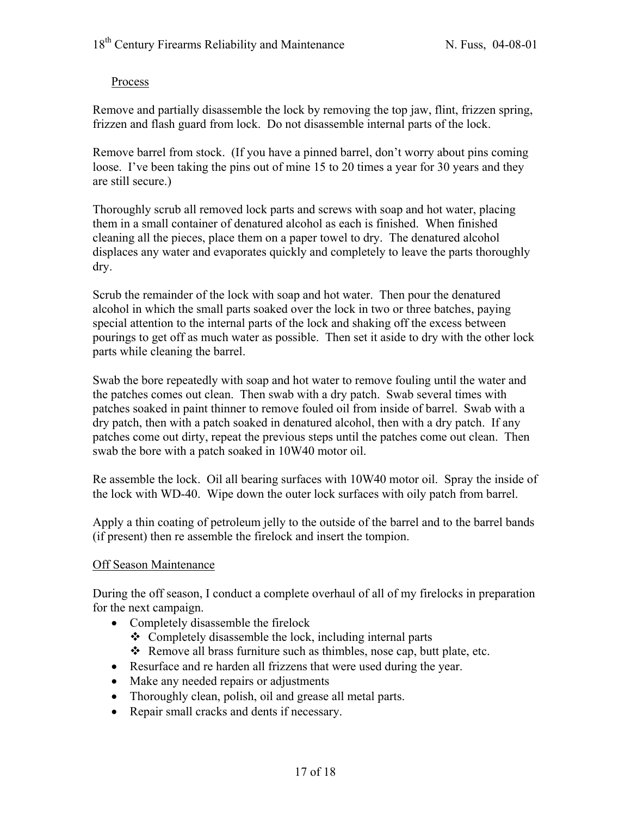## Process

Remove and partially disassemble the lock by removing the top jaw, flint, frizzen spring, frizzen and flash guard from lock. Do not disassemble internal parts of the lock.

Remove barrel from stock. (If you have a pinned barrel, don't worry about pins coming loose. I've been taking the pins out of mine 15 to 20 times a year for 30 years and they are still secure.)

Thoroughly scrub all removed lock parts and screws with soap and hot water, placing them in a small container of denatured alcohol as each is finished. When finished cleaning all the pieces, place them on a paper towel to dry. The denatured alcohol displaces any water and evaporates quickly and completely to leave the parts thoroughly dry.

Scrub the remainder of the lock with soap and hot water. Then pour the denatured alcohol in which the small parts soaked over the lock in two or three batches, paying special attention to the internal parts of the lock and shaking off the excess between pourings to get off as much water as possible. Then set it aside to dry with the other lock parts while cleaning the barrel.

Swab the bore repeatedly with soap and hot water to remove fouling until the water and the patches comes out clean. Then swab with a dry patch. Swab several times with patches soaked in paint thinner to remove fouled oil from inside of barrel. Swab with a dry patch, then with a patch soaked in denatured alcohol, then with a dry patch. If any patches come out dirty, repeat the previous steps until the patches come out clean. Then swab the bore with a patch soaked in 10W40 motor oil.

Re assemble the lock. Oil all bearing surfaces with 10W40 motor oil. Spray the inside of the lock with WD-40. Wipe down the outer lock surfaces with oily patch from barrel.

Apply a thin coating of petroleum jelly to the outside of the barrel and to the barrel bands (if present) then re assemble the firelock and insert the tompion.

## Off Season Maintenance

During the off season, I conduct a complete overhaul of all of my firelocks in preparation for the next campaign.

- Completely disassemble the firelock
	- $\triangle$  Completely disassemble the lock, including internal parts
	- Remove all brass furniture such as thimbles, nose cap, butt plate, etc.
- Resurface and re harden all frizzens that were used during the year.
- Make any needed repairs or adjustments
- Thoroughly clean, polish, oil and grease all metal parts.
- Repair small cracks and dents if necessary.